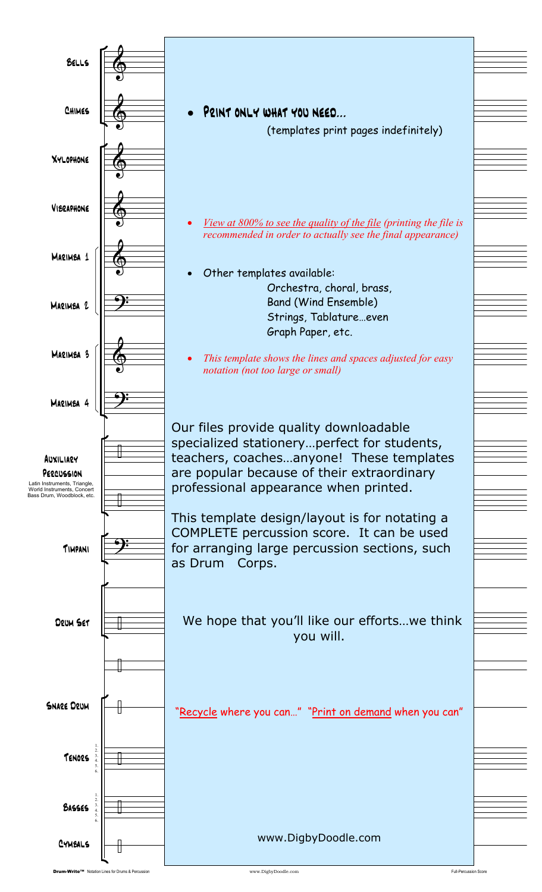